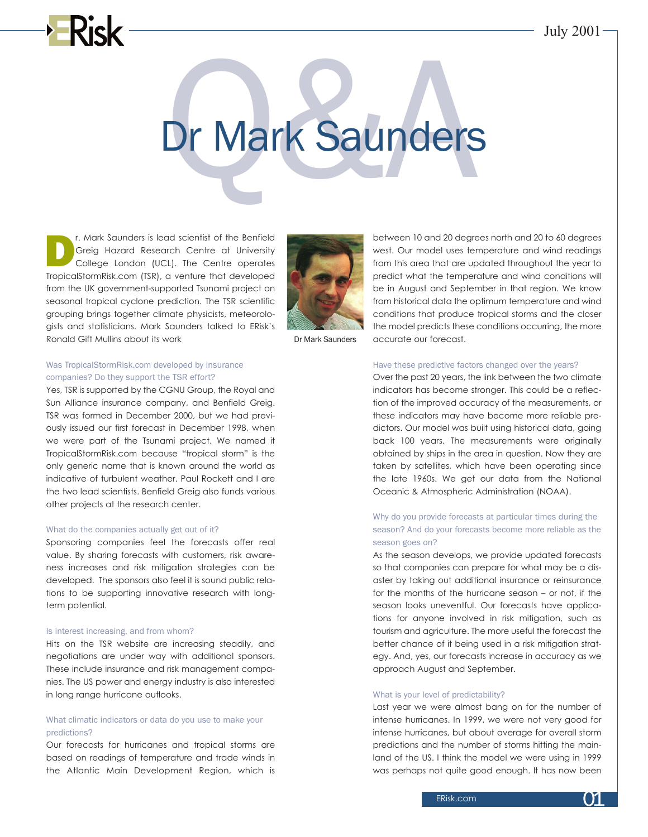# Dr Mark Saunders Dr Mark Saunders

The Mark Saunders is lead scientist of the Benfield<br>
College Hazard Research Centre at University<br>
College London (UCL). The Centre operates<br>
Transportant Research Centre operates Greig Hazard Research Centre at University TropicalStormRisk.com (TSR), a venture that developed from the UK government-supported Tsunami project on seasonal tropical cyclone prediction. The TSR scientific grouping brings together climate physicists, meteorologists and statisticians. Mark Saunders talked to ERisk's Ronald Gift Mullins about its work



Dr Mark Saunders

# Was TropicalStormRisk.com developed by insurance companies? Do they support the TSR effort?

Yes, TSR is supported by the CGNU Group, the Royal and Sun Alliance insurance company, and Benfield Greig. TSR was formed in December 2000, but we had previously issued our first forecast in December 1998, when we were part of the Tsunami project. We named it TropicalStormRisk.com because "tropical storm" is the only generic name that is known around the world as indicative of turbulent weather. Paul Rockett and I are the two lead scientists. Benfield Greig also funds various other projects at the research center.

### What do the companies actually get out of it?

Sponsoring companies feel the forecasts offer real value. By sharing forecasts with customers, risk awareness increases and risk mitigation strategies can be developed. The sponsors also feel it is sound public relations to be supporting innovative research with longterm potential.

# Is interest increasing, and from whom?

Hits on the TSR website are increasing steadily, and negotiations are under way with additional sponsors. These include insurance and risk management companies. The US power and energy industry is also interested in long range hurricane outlooks.

# What climatic indicators or data do you use to make your predictions?

Our forecasts for hurricanes and tropical storms are based on readings of temperature and trade winds in the Atlantic Main Development Region, which is

between 10 and 20 degrees north and 20 to 60 degrees west. Our model uses temperature and wind readings from this area that are updated throughout the year to predict what the temperature and wind conditions will be in August and September in that region. We know from historical data the optimum temperature and wind conditions that produce tropical storms and the closer the model predicts these conditions occurring, the more accurate our forecast.

## Have these predictive factors changed over the years?

Over the past 20 years, the link between the two climate indicators has become stronger. This could be a reflection of the improved accuracy of the measurements, or these indicators may have become more reliable predictors. Our model was built using historical data, going back 100 years. The measurements were originally obtained by ships in the area in question. Now they are taken by satellites, which have been operating since the late 1960s. We get our data from the National Oceanic & Atmospheric Administration (NOAA).

# Why do you provide forecasts at particular times during the season? And do your forecasts become more reliable as the season goes on?

As the season develops, we provide updated forecasts so that companies can prepare for what may be a disaster by taking out additional insurance or reinsurance for the months of the hurricane season – or not, if the season looks uneventful. Our forecasts have applications for anyone involved in risk mitigation, such as tourism and agriculture. The more useful the forecast the better chance of it being used in a risk mitigation strategy. And, yes, our forecasts increase in accuracy as we approach August and September.

# What is your level of predictability?

Last year we were almost bang on for the number of intense hurricanes. In 1999, we were not very good for intense hurricanes, but about average for overall storm predictions and the number of storms hitting the mainland of the US. I think the model we were using in 1999 was perhaps not quite good enough. It has now been